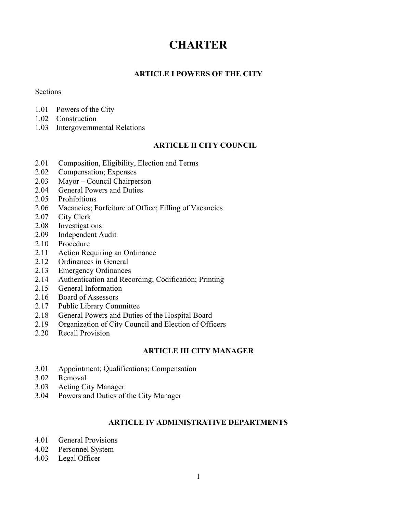# **CHARTER**

# ARTICLE I POWERS OF THE CITY

### Sections

- 1.01 Powers of the City
- 1.02 Construction
- 1.03 Intergovernmental Relations

# ARTICLE II CITY COUNCIL

- 2.01 Composition, Eligibility, Election and Terms
- 2.02 Compensation; Expenses
- 2.03 Mayor Council Chairperson
- 2.04 General Powers and Duties
- 2.05 Prohibitions
- 2.06 Vacancies; Forfeiture of Office; Filling of Vacancies
- 2.07 City Clerk
- 2.08 Investigations
- 2.09 Independent Audit
- 2.10 Procedure
- 2.11 Action Requiring an Ordinance
- 2.12 Ordinances in General
- 2.13 Emergency Ordinances
- 2.14 Authentication and Recording; Codification; Printing
- 2.15 General Information
- 2.16 Board of Assessors
- 2.17 Public Library Committee
- 2.18 General Powers and Duties of the Hospital Board
- 2.19 Organization of City Council and Election of Officers
- 2.20 Recall Provision

## ARTICLE III CITY MANAGER

- 3.01 Appointment; Qualifications; Compensation
- 3.02 Removal
- 3.03 Acting City Manager
- 3.04 Powers and Duties of the City Manager

## ARTICLE IV ADMINISTRATIVE DEPARTMENTS

- 4.01 General Provisions
- 4.02 Personnel System
- 4.03 Legal Officer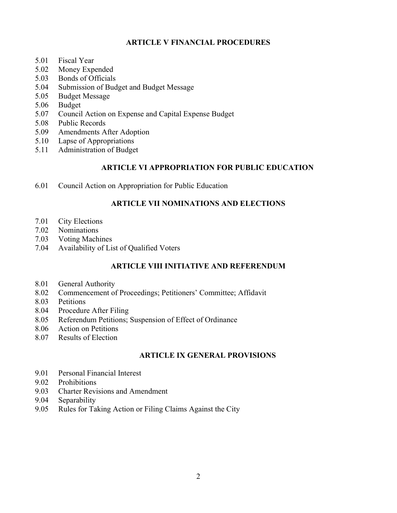# ARTICLE V FINANCIAL PROCEDURES

- 5.01 Fiscal Year
- 5.02 Money Expended
- 5.03 Bonds of Officials
- 5.04 Submission of Budget and Budget Message
- 5.05 Budget Message
- 5.06 Budget
- 5.07 Council Action on Expense and Capital Expense Budget
- 5.08 Public Records
- 5.09 Amendments After Adoption
- 5.10 Lapse of Appropriations
- 5.11 Administration of Budget

### ARTICLE VI APPROPRIATION FOR PUBLIC EDUCATION

6.01 Council Action on Appropriation for Public Education

## ARTICLE VII NOMINATIONS AND ELECTIONS

- 7.01 City Elections
- 7.02 Nominations
- 7.03 Voting Machines
- 7.04 Availability of List of Qualified Voters

## ARTICLE VIII INITIATIVE AND REFERENDUM

- 8.01 General Authority
- 8.02 Commencement of Proceedings; Petitioners' Committee; Affidavit
- 8.03 Petitions
- 8.04 Procedure After Filing
- 8.05 Referendum Petitions; Suspension of Effect of Ordinance
- 8.06 Action on Petitions
- 8.07 Results of Election

## ARTICLE IX GENERAL PROVISIONS

- 9.01 Personal Financial Interest
- 9.02 Prohibitions
- 9.03 Charter Revisions and Amendment
- 9.04 Separability
- 9.05 Rules for Taking Action or Filing Claims Against the City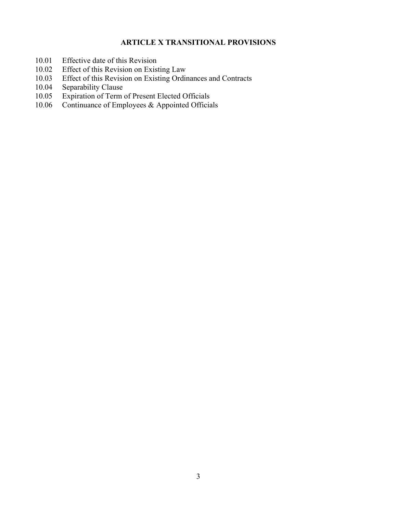# ARTICLE X TRANSITIONAL PROVISIONS

- 10.01 Effective date of this Revision
- 10.02 Effect of this Revision on Existing Law
- 10.03 Effect of this Revision on Existing Ordinances and Contracts
- 10.04 Separability Clause<br>10.05 Expiration of Term
- 10.05 Expiration of Term of Present Elected Officials<br>10.06 Continuance of Employees & Appointed Official
- Continuance of Employees & Appointed Officials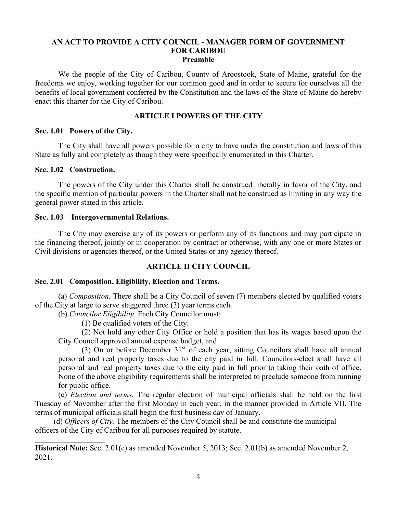### AN ACT TO PROVIDE A CITY COUNCIL - MANAGER FORM OF GOVERNMENT FOR CARIBOU Preamble

We the people of the City of Caribou, County of Aroostook, State of Maine, grateful for the freedoms we enjoy, working together for our common good and in order to secure for ourselves all the benefits of local government conferred by the Constitution and the laws of the State of Maine do hereby enact this charter for the City of Caribou.

# ARTICLE I POWERS OF THE CITY

#### Sec. 1.01 Powers of the City.

The City shall have all powers possible for a city to have under the constitution and laws of this State as fully and completely as though they were specifically enumerated in this Charter.

### Sec. 1.02 Construction.

 $\overline{a}$ 

The powers of the City under this Charter shall be construed liberally in favor of the City, and the specific mention of particular powers in the Charter shall not be construed as limiting in any way the general power stated in this article.

### Sec. 1.03 Intergovernmental Relations.

The City may exercise any of its powers or perform any of its functions and may participate in the financing thereof, jointly or in cooperation by contract or otherwise, with any one or more States or Civil divisions or agencies thereof, or the United States or any agency thereof.

### ARTICLE II CITY COUNCIL

### Sec. 2.01 Composition, Eligibility, Election and Terms.

(a) Composition. There shall be a City Council of seven (7) members elected by qualified voters of the City at large to serve staggered three (3) year terms each.

(b) Councilor Eligibility. Each City Councilor must:

(1) Be qualified voters of the City.

(2) Not hold any other City Office or hold a position that has its wages based upon the City Council approved annual expense budget, and

(3) On or before December  $31<sup>st</sup>$  of each year, sitting Councilors shall have all annual personal and real property taxes due to the city paid in full. Councilors-elect shall have all personal and real property taxes due to the city paid in full prior to taking their oath of office. None of the above eligibility requirements shall be interpreted to preclude someone from running for public office.

(c) Election and terms. The regular election of municipal officials shall be held on the first Tuesday of November after the first Monday in each year, in the manner provided in Article VII. The terms of municipal officials shall begin the first business day of January.

(d) Officers of City. The members of the City Council shall be and constitute the municipal officers of the City of Caribou for all purposes required by statute.

Historical Note: Sec. 2.01(c) as amended November 5, 2013; Sec. 2.01(b) as amended November 2, 2021.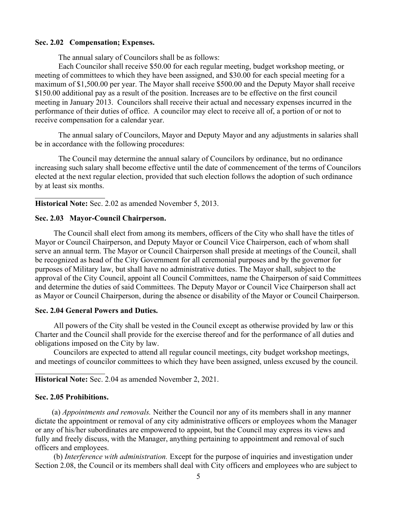### Sec. 2.02 Compensation; Expenses.

The annual salary of Councilors shall be as follows:

 Each Councilor shall receive \$50.00 for each regular meeting, budget workshop meeting, or meeting of committees to which they have been assigned, and \$30.00 for each special meeting for a maximum of \$1,500.00 per year. The Mayor shall receive \$500.00 and the Deputy Mayor shall receive \$150.00 additional pay as a result of the position. Increases are to be effective on the first council meeting in January 2013. Councilors shall receive their actual and necessary expenses incurred in the performance of their duties of office. A councilor may elect to receive all of, a portion of or not to receive compensation for a calendar year.

 The annual salary of Councilors, Mayor and Deputy Mayor and any adjustments in salaries shall be in accordance with the following procedures:

 The Council may determine the annual salary of Councilors by ordinance, but no ordinance increasing such salary shall become effective until the date of commencement of the terms of Councilors elected at the next regular election, provided that such election follows the adoption of such ordinance by at least six months.

Historical Note: Sec. 2.02 as amended November 5, 2013.

### Sec. 2.03 Mayor-Council Chairperson.

l

 $\overline{a}$ 

The Council shall elect from among its members, officers of the City who shall have the titles of Mayor or Council Chairperson, and Deputy Mayor or Council Vice Chairperson, each of whom shall serve an annual term. The Mayor or Council Chairperson shall preside at meetings of the Council, shall be recognized as head of the City Government for all ceremonial purposes and by the governor for purposes of Military law, but shall have no administrative duties. The Mayor shall, subject to the approval of the City Council, appoint all Council Committees, name the Chairperson of said Committees and determine the duties of said Committees. The Deputy Mayor or Council Vice Chairperson shall act as Mayor or Council Chairperson, during the absence or disability of the Mayor or Council Chairperson.

### Sec. 2.04 General Powers and Duties.

All powers of the City shall be vested in the Council except as otherwise provided by law or this Charter and the Council shall provide for the exercise thereof and for the performance of all duties and obligations imposed on the City by law.

Councilors are expected to attend all regular council meetings, city budget workshop meetings, and meetings of councilor committees to which they have been assigned, unless excused by the council.

Historical Note: Sec. 2.04 as amended November 2, 2021.

### Sec. 2.05 Prohibitions.

(a) Appointments and removals. Neither the Council nor any of its members shall in any manner dictate the appointment or removal of any city administrative officers or employees whom the Manager or any of his/her subordinates are empowered to appoint, but the Council may express its views and fully and freely discuss, with the Manager, anything pertaining to appointment and removal of such officers and employees.

(b) Interference with administration. Except for the purpose of inquiries and investigation under Section 2.08, the Council or its members shall deal with City officers and employees who are subject to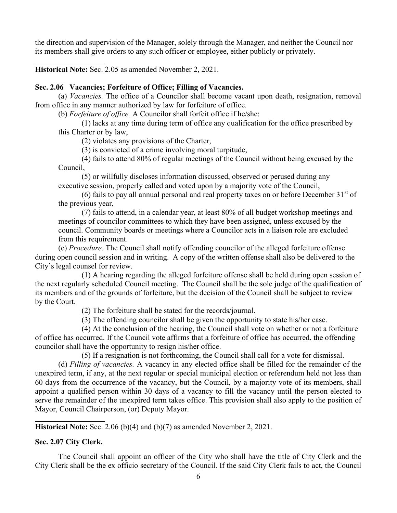the direction and supervision of the Manager, solely through the Manager, and neither the Council nor its members shall give orders to any such officer or employee, either publicly or privately.

Historical Note: Sec. 2.05 as amended November 2, 2021.

l

### Sec. 2.06 Vacancies; Forfeiture of Office; Filling of Vacancies.

(a) Vacancies. The office of a Councilor shall become vacant upon death, resignation, removal from office in any manner authorized by law for forfeiture of office.

(b) Forfeiture of office. A Councilor shall forfeit office if he/she:

(1) lacks at any time during term of office any qualification for the office prescribed by this Charter or by law,

(2) violates any provisions of the Charter,

(3) is convicted of a crime involving moral turpitude,

(4) fails to attend 80% of regular meetings of the Council without being excused by the Council,

(5) or willfully discloses information discussed, observed or perused during any executive session, properly called and voted upon by a majority vote of the Council,

(6) fails to pay all annual personal and real property taxes on or before December  $31<sup>st</sup>$  of the previous year,

(7) fails to attend, in a calendar year, at least 80% of all budget workshop meetings and meetings of councilor committees to which they have been assigned, unless excused by the council. Community boards or meetings where a Councilor acts in a liaison role are excluded from this requirement.

(c) Procedure. The Council shall notify offending councilor of the alleged forfeiture offense during open council session and in writing. A copy of the written offense shall also be delivered to the City's legal counsel for review.

 (1) A hearing regarding the alleged forfeiture offense shall be held during open session of the next regularly scheduled Council meeting. The Council shall be the sole judge of the qualification of its members and of the grounds of forfeiture, but the decision of the Council shall be subject to review by the Court.

(2) The forfeiture shall be stated for the records/journal.

(3) The offending councilor shall be given the opportunity to state his/her case.

 (4) At the conclusion of the hearing, the Council shall vote on whether or not a forfeiture of office has occurred. If the Council vote affirms that a forfeiture of office has occurred, the offending councilor shall have the opportunity to resign his/her office.

(5) If a resignation is not forthcoming, the Council shall call for a vote for dismissal.

(d) Filling of vacancies. A vacancy in any elected office shall be filled for the remainder of the unexpired term, if any, at the next regular or special municipal election or referendum held not less than 60 days from the occurrence of the vacancy, but the Council, by a majority vote of its members, shall appoint a qualified person within 30 days of a vacancy to fill the vacancy until the person elected to serve the remainder of the unexpired term takes office. This provision shall also apply to the position of Mayor, Council Chairperson, (or) Deputy Mayor.

Historical Note: Sec. 2.06 (b)(4) and (b)(7) as amended November 2, 2021.

### Sec. 2.07 City Clerk.

l

The Council shall appoint an officer of the City who shall have the title of City Clerk and the City Clerk shall be the ex officio secretary of the Council. If the said City Clerk fails to act, the Council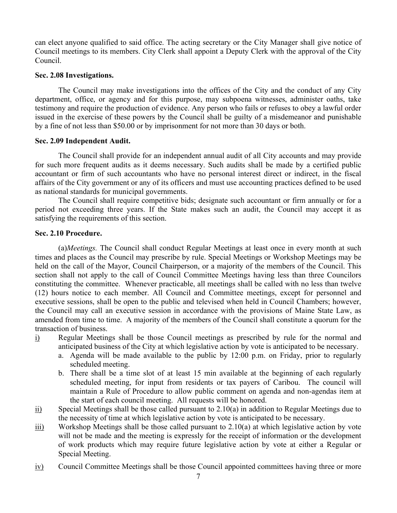can elect anyone qualified to said office. The acting secretary or the City Manager shall give notice of Council meetings to its members. City Clerk shall appoint a Deputy Clerk with the approval of the City Council.

### Sec. 2.08 Investigations.

The Council may make investigations into the offices of the City and the conduct of any City department, office, or agency and for this purpose, may subpoena witnesses, administer oaths, take testimony and require the production of evidence. Any person who fails or refuses to obey a lawful order issued in the exercise of these powers by the Council shall be guilty of a misdemeanor and punishable by a fine of not less than \$50.00 or by imprisonment for not more than 30 days or both.

### Sec. 2.09 Independent Audit.

The Council shall provide for an independent annual audit of all City accounts and may provide for such more frequent audits as it deems necessary. Such audits shall be made by a certified public accountant or firm of such accountants who have no personal interest direct or indirect, in the fiscal affairs of the City government or any of its officers and must use accounting practices defined to be used as national standards for municipal governments.

The Council shall require competitive bids; designate such accountant or firm annually or for a period not exceeding three years. If the State makes such an audit, the Council may accept it as satisfying the requirements of this section.

### Sec. 2.10 Procedure.

(a)Meetings. The Council shall conduct Regular Meetings at least once in every month at such times and places as the Council may prescribe by rule. Special Meetings or Workshop Meetings may be held on the call of the Mayor, Council Chairperson, or a majority of the members of the Council. This section shall not apply to the call of Council Committee Meetings having less than three Councilors constituting the committee. Whenever practicable, all meetings shall be called with no less than twelve (12) hours notice to each member. All Council and Committee meetings, except for personnel and executive sessions, shall be open to the public and televised when held in Council Chambers; however, the Council may call an executive session in accordance with the provisions of Maine State Law, as amended from time to time. A majority of the members of the Council shall constitute a quorum for the transaction of business.

- i) Regular Meetings shall be those Council meetings as prescribed by rule for the normal and anticipated business of the City at which legislative action by vote is anticipated to be necessary.
	- a. Agenda will be made available to the public by 12:00 p.m. on Friday, prior to regularly scheduled meeting.
	- b. There shall be a time slot of at least 15 min available at the beginning of each regularly scheduled meeting, for input from residents or tax payers of Caribou. The council will maintain a Rule of Procedure to allow public comment on agenda and non-agendas item at the start of each council meeting. All requests will be honored.
- ii) Special Meetings shall be those called pursuant to 2.10(a) in addition to Regular Meetings due to the necessity of time at which legislative action by vote is anticipated to be necessary.
- $\overline{iii}$  Workshop Meetings shall be those called pursuant to 2.10(a) at which legislative action by vote will not be made and the meeting is expressly for the receipt of information or the development of work products which may require future legislative action by vote at either a Regular or Special Meeting.
- $iv)$  Council Committee Meetings shall be those Council appointed committees having three or more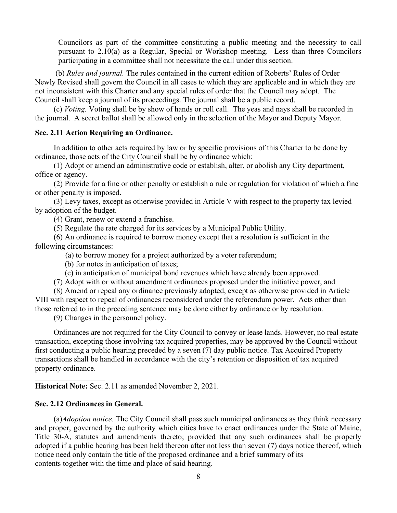Councilors as part of the committee constituting a public meeting and the necessity to call pursuant to 2.10(a) as a Regular, Special or Workshop meeting. Less than three Councilors participating in a committee shall not necessitate the call under this section.

 (b) Rules and journal. The rules contained in the current edition of Roberts' Rules of Order Newly Revised shall govern the Council in all cases to which they are applicable and in which they are not inconsistent with this Charter and any special rules of order that the Council may adopt. The Council shall keep a journal of its proceedings. The journal shall be a public record.

(c) Voting. Voting shall be by show of hands or roll call. The yeas and nays shall be recorded in the journal. A secret ballot shall be allowed only in the selection of the Mayor and Deputy Mayor.

### Sec. 2.11 Action Requiring an Ordinance.

In addition to other acts required by law or by specific provisions of this Charter to be done by ordinance, those acts of the City Council shall be by ordinance which:

(1) Adopt or amend an administrative code or establish, alter, or abolish any City department, office or agency.

(2) Provide for a fine or other penalty or establish a rule or regulation for violation of which a fine or other penalty is imposed.

(3) Levy taxes, except as otherwise provided in Article V with respect to the property tax levied by adoption of the budget.

(4) Grant, renew or extend a franchise.

(5) Regulate the rate charged for its services by a Municipal Public Utility.

(6) An ordinance is required to borrow money except that a resolution is sufficient in the following circumstances:

(a) to borrow money for a project authorized by a voter referendum;

(b) for notes in anticipation of taxes;

(c) in anticipation of municipal bond revenues which have already been approved.

(7) Adopt with or without amendment ordinances proposed under the initiative power, and

(8) Amend or repeal any ordinance previously adopted, except as otherwise provided in Article VIII with respect to repeal of ordinances reconsidered under the referendum power. Acts other than those referred to in the preceding sentence may be done either by ordinance or by resolution.

(9) Changes in the personnel policy.

Ordinances are not required for the City Council to convey or lease lands. However, no real estate transaction, excepting those involving tax acquired properties, may be approved by the Council without first conducting a public hearing preceded by a seven (7) day public notice. Tax Acquired Property transactions shall be handled in accordance with the city's retention or disposition of tax acquired property ordinance.

Historical Note: Sec. 2.11 as amended November 2, 2021.

#### Sec. 2.12 Ordinances in General.

l

(a)Adoption notice. The City Council shall pass such municipal ordinances as they think necessary and proper, governed by the authority which cities have to enact ordinances under the State of Maine, Title 30-A, statutes and amendments thereto; provided that any such ordinances shall be properly adopted if a public hearing has been held thereon after not less than seven (7) days notice thereof, which notice need only contain the title of the proposed ordinance and a brief summary of its contents together with the time and place of said hearing.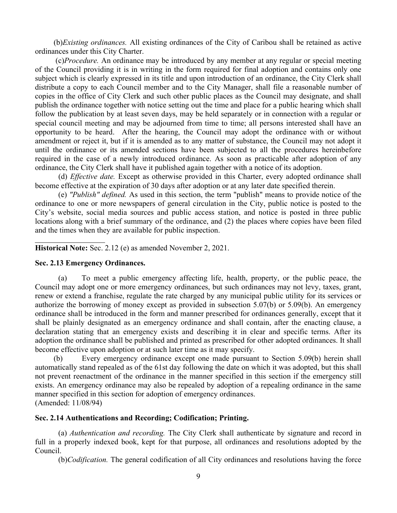(b)Existing ordinances. All existing ordinances of the City of Caribou shall be retained as active ordinances under this City Charter.

 (c)Procedure. An ordinance may be introduced by any member at any regular or special meeting of the Council providing it is in writing in the form required for final adoption and contains only one subject which is clearly expressed in its title and upon introduction of an ordinance, the City Clerk shall distribute a copy to each Council member and to the City Manager, shall file a reasonable number of copies in the office of City Clerk and such other public places as the Council may designate, and shall publish the ordinance together with notice setting out the time and place for a public hearing which shall follow the publication by at least seven days, may be held separately or in connection with a regular or special council meeting and may be adjourned from time to time; all persons interested shall have an opportunity to be heard. After the hearing, the Council may adopt the ordinance with or without amendment or reject it, but if it is amended as to any matter of substance, the Council may not adopt it until the ordinance or its amended sections have been subjected to all the procedures hereinbefore required in the case of a newly introduced ordinance. As soon as practicable after adoption of any ordinance, the City Clerk shall have it published again together with a notice of its adoption.

 (d) Effective date. Except as otherwise provided in this Charter, every adopted ordinance shall become effective at the expiration of 30 days after adoption or at any later date specified therein.

(e) "Publish" defined. As used in this section, the term "publish" means to provide notice of the ordinance to one or more newspapers of general circulation in the City, public notice is posted to the City's website, social media sources and public access station, and notice is posted in three public locations along with a brief summary of the ordinance, and (2) the places where copies have been filed and the times when they are available for public inspection.

Historical Note: Sec. 2.12 (e) as amended November 2, 2021.

### Sec. 2.13 Emergency Ordinances.

l

(a) To meet a public emergency affecting life, health, property, or the public peace, the Council may adopt one or more emergency ordinances, but such ordinances may not levy, taxes, grant, renew or extend a franchise, regulate the rate charged by any municipal public utility for its services or authorize the borrowing of money except as provided in subsection 5.07(b) or 5.09(b). An emergency ordinance shall be introduced in the form and manner prescribed for ordinances generally, except that it shall be plainly designated as an emergency ordinance and shall contain, after the enacting clause, a declaration stating that an emergency exists and describing it in clear and specific terms. After its adoption the ordinance shall be published and printed as prescribed for other adopted ordinances. It shall become effective upon adoption or at such later time as it may specify.

(b) Every emergency ordinance except one made pursuant to Section 5.09(b) herein shall automatically stand repealed as of the 61st day following the date on which it was adopted, but this shall not prevent reenactment of the ordinance in the manner specified in this section if the emergency still exists. An emergency ordinance may also be repealed by adoption of a repealing ordinance in the same manner specified in this section for adoption of emergency ordinances. (Amended: 11/08/94)

### Sec. 2.14 Authentications and Recording; Codification; Printing.

(a) Authentication and recording. The City Clerk shall authenticate by signature and record in full in a properly indexed book, kept for that purpose, all ordinances and resolutions adopted by the Council.

(b)Codification. The general codification of all City ordinances and resolutions having the force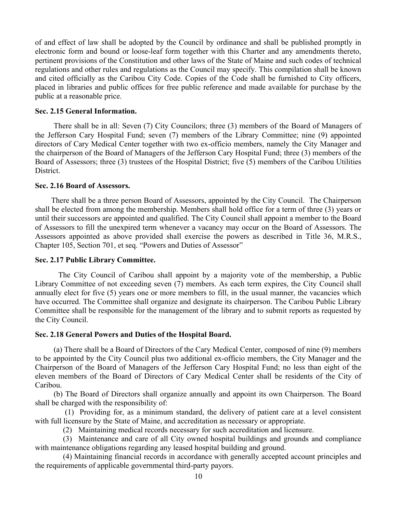of and effect of law shall be adopted by the Council by ordinance and shall be published promptly in electronic form and bound or loose-leaf form together with this Charter and any amendments thereto, pertinent provisions of the Constitution and other laws of the State of Maine and such codes of technical regulations and other rules and regulations as the Council may specify. This compilation shall be known and cited officially as the Caribou City Code. Copies of the Code shall be furnished to City officers, placed in libraries and public offices for free public reference and made available for purchase by the public at a reasonable price.

### Sec. 2.15 General Information.

There shall be in all: Seven (7) City Councilors; three (3) members of the Board of Managers of the Jefferson Cary Hospital Fund; seven (7) members of the Library Committee; nine (9) appointed directors of Cary Medical Center together with two ex-officio members, namely the City Manager and the chairperson of the Board of Managers of the Jefferson Cary Hospital Fund; three (3) members of the Board of Assessors; three (3) trustees of the Hospital District; five (5) members of the Caribou Utilities District.

#### Sec. 2.16 Board of Assessors.

 There shall be a three person Board of Assessors, appointed by the City Council. The Chairperson shall be elected from among the membership. Members shall hold office for a term of three (3) years or until their successors are appointed and qualified. The City Council shall appoint a member to the Board of Assessors to fill the unexpired term whenever a vacancy may occur on the Board of Assessors. The Assessors appointed as above provided shall exercise the powers as described in Title 36, M.R.S., Chapter 105, Section 701, et seq. "Powers and Duties of Assessor"

#### Sec. 2.17 Public Library Committee.

 The City Council of Caribou shall appoint by a majority vote of the membership, a Public Library Committee of not exceeding seven (7) members. As each term expires, the City Council shall annually elect for five (5) years one or more members to fill, in the usual manner, the vacancies which have occurred. The Committee shall organize and designate its chairperson. The Caribou Public Library Committee shall be responsible for the management of the library and to submit reports as requested by the City Council.

### Sec. 2.18 General Powers and Duties of the Hospital Board.

(a) There shall be a Board of Directors of the Cary Medical Center, composed of nine (9) members to be appointed by the City Council plus two additional ex-officio members, the City Manager and the Chairperson of the Board of Managers of the Jefferson Cary Hospital Fund; no less than eight of the eleven members of the Board of Directors of Cary Medical Center shall be residents of the City of Caribou.

(b) The Board of Directors shall organize annually and appoint its own Chairperson. The Board shall be charged with the responsibility of:

 (1) Providing for, as a minimum standard, the delivery of patient care at a level consistent with full licensure by the State of Maine, and accreditation as necessary or appropriate.

(2) Maintaining medical records necessary for such accreditation and licensure.

(3) Maintenance and care of all City owned hospital buildings and grounds and compliance with maintenance obligations regarding any leased hospital building and ground.

(4) Maintaining financial records in accordance with generally accepted account principles and the requirements of applicable governmental third-party payors.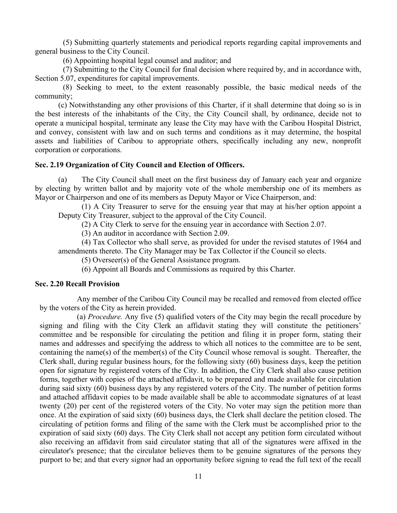(5) Submitting quarterly statements and periodical reports regarding capital improvements and general business to the City Council.

(6) Appointing hospital legal counsel and auditor; and

(7) Submitting to the City Council for final decision where required by, and in accordance with, Section 5.07, expenditures for capital improvements.

(8) Seeking to meet, to the extent reasonably possible, the basic medical needs of the community;

(c) Notwithstanding any other provisions of this Charter, if it shall determine that doing so is in the best interests of the inhabitants of the City, the City Council shall, by ordinance, decide not to operate a municipal hospital, terminate any lease the City may have with the Caribou Hospital District, and convey, consistent with law and on such terms and conditions as it may determine, the hospital assets and liabilities of Caribou to appropriate others, specifically including any new, nonprofit corporation or corporations.

#### Sec. 2.19 Organization of City Council and Election of Officers.

(a) The City Council shall meet on the first business day of January each year and organize by electing by written ballot and by majority vote of the whole membership one of its members as Mayor or Chairperson and one of its members as Deputy Mayor or Vice Chairperson, and:

(1) A City Treasurer to serve for the ensuing year that may at his/her option appoint a Deputy City Treasurer, subject to the approval of the City Council.

(2) A City Clerk to serve for the ensuing year in accordance with Section 2.07.

(3) An auditor in accordance with Section 2.09.

(4) Tax Collector who shall serve, as provided for under the revised statutes of 1964 and amendments thereto. The City Manager may be Tax Collector if the Council so elects.

(5) Overseer(s) of the General Assistance program.

(6) Appoint all Boards and Commissions as required by this Charter.

#### Sec. 2.20 Recall Provision

Any member of the Caribou City Council may be recalled and removed from elected office by the voters of the City as herein provided.

(a) Procedure. Any five (5) qualified voters of the City may begin the recall procedure by signing and filing with the City Clerk an affidavit stating they will constitute the petitioners' committee and be responsible for circulating the petition and filing it in proper form, stating their names and addresses and specifying the address to which all notices to the committee are to be sent, containing the name(s) of the member(s) of the City Council whose removal is sought. Thereafter, the Clerk shall, during regular business hours, for the following sixty (60) business days, keep the petition open for signature by registered voters of the City. In addition, the City Clerk shall also cause petition forms, together with copies of the attached affidavit, to be prepared and made available for circulation during said sixty (60) business days by any registered voters of the City. The number of petition forms and attached affidavit copies to be made available shall be able to accommodate signatures of at least twenty (20) per cent of the registered voters of the City. No voter may sign the petition more than once. At the expiration of said sixty (60) business days, the Clerk shall declare the petition closed. The circulating of petition forms and filing of the same with the Clerk must be accomplished prior to the expiration of said sixty (60) days. The City Clerk shall not accept any petition form circulated without also receiving an affidavit from said circulator stating that all of the signatures were affixed in the circulator's presence; that the circulator believes them to be genuine signatures of the persons they purport to be; and that every signor had an opportunity before signing to read the full text of the recall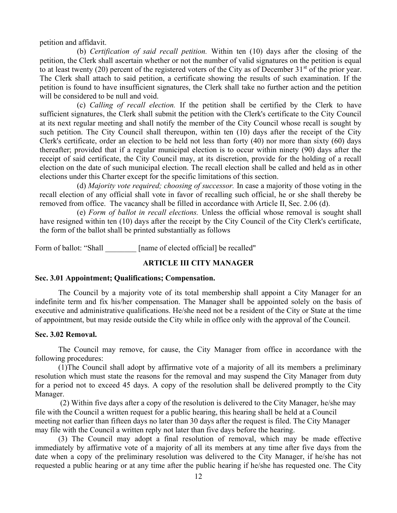petition and affidavit.

(b) Certification of said recall petition. Within ten (10) days after the closing of the petition, the Clerk shall ascertain whether or not the number of valid signatures on the petition is equal to at least twenty (20) percent of the registered voters of the City as of December  $31<sup>st</sup>$  of the prior year. The Clerk shall attach to said petition, a certificate showing the results of such examination. If the petition is found to have insufficient signatures, the Clerk shall take no further action and the petition will be considered to be null and void.

(c) Calling of recall election. If the petition shall be certified by the Clerk to have sufficient signatures, the Clerk shall submit the petition with the Clerk's certificate to the City Council at its next regular meeting and shall notify the member of the City Council whose recall is sought by such petition. The City Council shall thereupon, within ten (10) days after the receipt of the City Clerk's certificate, order an election to be held not less than forty (40) nor more than sixty (60) days thereafter; provided that if a regular municipal election is to occur within ninety (90) days after the receipt of said certificate, the City Council may, at its discretion, provide for the holding of a recall election on the date of such municipal election. The recall election shall be called and held as in other elections under this Charter except for the specific limitations of this section.

(d) Majority vote required; choosing of successor. In case a majority of those voting in the recall election of any official shall vote in favor of recalling such official, he or she shall thereby be removed from office. The vacancy shall be filled in accordance with Article II, Sec. 2.06 (d).

(e) Form of ballot in recall elections. Unless the official whose removal is sought shall have resigned within ten (10) days after the receipt by the City Council of the City Clerk's certificate, the form of the ballot shall be printed substantially as follows

Form of ballot: "Shall [name of elected official] be recalled"

## ARTICLE III CITY MANAGER

### Sec. 3.01 Appointment; Qualifications; Compensation.

The Council by a majority vote of its total membership shall appoint a City Manager for an indefinite term and fix his/her compensation. The Manager shall be appointed solely on the basis of executive and administrative qualifications. He/she need not be a resident of the City or State at the time of appointment, but may reside outside the City while in office only with the approval of the Council.

### Sec. 3.02 Removal.

The Council may remove, for cause, the City Manager from office in accordance with the following procedures:

(1)The Council shall adopt by affirmative vote of a majority of all its members a preliminary resolution which must state the reasons for the removal and may suspend the City Manager from duty for a period not to exceed 45 days. A copy of the resolution shall be delivered promptly to the City Manager.

 (2) Within five days after a copy of the resolution is delivered to the City Manager, he/she may file with the Council a written request for a public hearing, this hearing shall be held at a Council meeting not earlier than fifteen days no later than 30 days after the request is filed. The City Manager may file with the Council a written reply not later than five days before the hearing.

 (3) The Council may adopt a final resolution of removal, which may be made effective immediately by affirmative vote of a majority of all its members at any time after five days from the date when a copy of the preliminary resolution was delivered to the City Manager, if he/she has not requested a public hearing or at any time after the public hearing if he/she has requested one. The City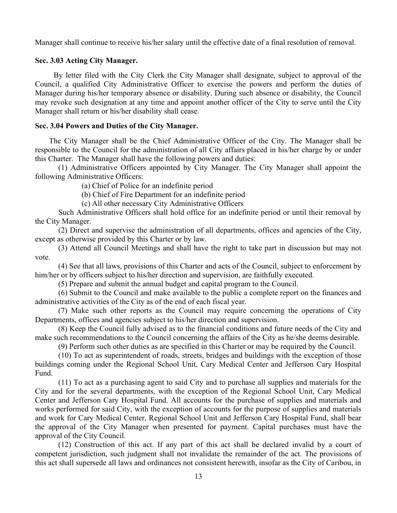Manager shall continue to receive his/her salary until the effective date of a final resolution of removal.

# Sec. 3.03 Acting City Manager.

By letter filed with the City Clerk the City Manager shall designate, subject to approval of the Council, a qualified City Administrative Officer to exercise the powers and perform the duties of Manager during his/her temporary absence or disability. During such absence or disability, the Council may revoke such designation at any time and appoint another officer of the City to serve until the City Manager shall return or his/her disability shall cease.

# Sec. 3.04 Powers and Duties of the City Manager.

The City Manager shall be the Chief Administrative Officer of the City. The Manager shall be responsible to the Council for the administration of all City affairs placed in his/her charge by or under this Charter. The Manager shall have the following powers and duties:

(1) Administrative Officers appointed by City Manager. The City Manager shall appoint the following Administrative Officers:

(a) Chief of Police for an indefinite period

(b) Chief of Fire Department for an indefinite period

(c) All other necessary City Administrative Officers

 Such Administrative Officers shall hold office for an indefinite period or until their removal by the City Manager.

 (2) Direct and supervise the administration of all departments, offices and agencies of the City, except as otherwise provided by this Charter or by law.

(3) Attend all Council Meetings and shall have the right to take part in discussion but may not vote.

(4) See that all laws, provisions of this Charter and acts of the Council, subject to enforcement by him/her or by officers subject to his/her direction and supervision, are faithfully executed.

(5) Prepare and submit the annual budget and capital program to the Council.

(6) Submit to the Council and make available to the public a complete report on the finances and administrative activities of the City as of the end of each fiscal year.

(7) Make such other reports as the Council may require concerning the operations of City Departments, offices and agencies subject to his/her direction and supervision.

(8) Keep the Council fully advised as to the financial conditions and future needs of the City and make such recommendations to the Council concerning the affairs of the City as he/she deems desirable.

(9) Perform such other duties as are specified in this Charter or may be required by the Council.

(10) To act as superintendent of roads, streets, bridges and buildings with the exception of those buildings coming under the Regional School Unit, Cary Medical Center and Jefferson Cary Hospital Fund.

(11) To act as a purchasing agent to said City and to purchase all supplies and materials for the City and for the several departments, with the exception of the Regional School Unit, Cary Medical Center and Jefferson Cary Hospital Fund. All accounts for the purchase of supplies and materials and works performed for said City, with the exception of accounts for the purpose of supplies and materials and work for Cary Medical Center, Regional School Unit and Jefferson Cary Hospital Fund, shall bear the approval of the City Manager when presented for payment. Capital purchases must have the approval of the City Council.

(12) Construction of this act. If any part of this act shall be declared invalid by a court of competent jurisdiction, such judgment shall not invalidate the remainder of the act. The provisions of this act shall supersede all laws and ordinances not consistent herewith, insofar as the City of Caribou, in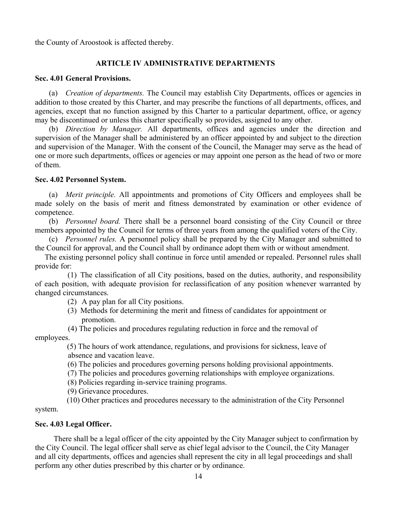the County of Aroostook is affected thereby.

# ARTICLE IV ADMINISTRATIVE DEPARTMENTS

### Sec. 4.01 General Provisions.

(a) Creation of departments. The Council may establish City Departments, offices or agencies in addition to those created by this Charter, and may prescribe the functions of all departments, offices, and agencies, except that no function assigned by this Charter to a particular department, office, or agency may be discontinued or unless this charter specifically so provides, assigned to any other.

(b) Direction by Manager. All departments, offices and agencies under the direction and supervision of the Manager shall be administered by an officer appointed by and subject to the direction and supervision of the Manager. With the consent of the Council, the Manager may serve as the head of one or more such departments, offices or agencies or may appoint one person as the head of two or more of them.

### Sec. 4.02 Personnel System.

(a) Merit principle. All appointments and promotions of City Officers and employees shall be made solely on the basis of merit and fitness demonstrated by examination or other evidence of competence.

(b) Personnel board. There shall be a personnel board consisting of the City Council or three members appointed by the Council for terms of three years from among the qualified voters of the City.

(c) Personnel rules. A personnel policy shall be prepared by the City Manager and submitted to the Council for approval, and the Council shall by ordinance adopt them with or without amendment.

 The existing personnel policy shall continue in force until amended or repealed. Personnel rules shall provide for:

(1) The classification of all City positions, based on the duties, authority, and responsibility of each position, with adequate provision for reclassification of any position whenever warranted by changed circumstances.

(2) A pay plan for all City positions.

(3) Methods for determining the merit and fitness of candidates for appointment or promotion.

 (4) The policies and procedures regulating reduction in force and the removal of employees.

> (5) The hours of work attendance, regulations, and provisions for sickness, leave of absence and vacation leave.

(6) The policies and procedures governing persons holding provisional appointments.

(7) The policies and procedures governing relationships with employee organizations.

(8) Policies regarding in-service training programs.

(9) Grievance procedures.

 (10) Other practices and procedures necessary to the administration of the City Personnel system.

### Sec. 4.03 Legal Officer.

There shall be a legal officer of the city appointed by the City Manager subject to confirmation by the City Council. The legal officer shall serve as chief legal advisor to the Council, the City Manager and all city departments, offices and agencies shall represent the city in all legal proceedings and shall perform any other duties prescribed by this charter or by ordinance.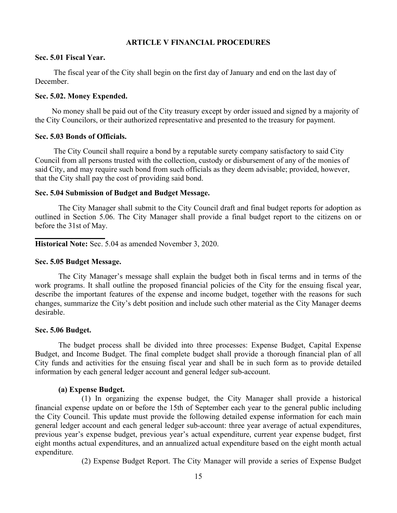### ARTICLE V FINANCIAL PROCEDURES

### Sec. 5.01 Fiscal Year.

The fiscal year of the City shall begin on the first day of January and end on the last day of December.

### Sec. 5.02. Money Expended.

No money shall be paid out of the City treasury except by order issued and signed by a majority of the City Councilors, or their authorized representative and presented to the treasury for payment.

#### Sec. 5.03 Bonds of Officials.

The City Council shall require a bond by a reputable surety company satisfactory to said City Council from all persons trusted with the collection, custody or disbursement of any of the monies of said City, and may require such bond from such officials as they deem advisable; provided, however, that the City shall pay the cost of providing said bond.

#### Sec. 5.04 Submission of Budget and Budget Message.

 The City Manager shall submit to the City Council draft and final budget reports for adoption as outlined in Section 5.06. The City Manager shall provide a final budget report to the citizens on or before the 31st of May.

Historical Note: Sec. 5.04 as amended November 3, 2020.

#### Sec. 5.05 Budget Message.

 The City Manager's message shall explain the budget both in fiscal terms and in terms of the work programs. It shall outline the proposed financial policies of the City for the ensuing fiscal year, describe the important features of the expense and income budget, together with the reasons for such changes, summarize the City's debt position and include such other material as the City Manager deems desirable.

#### Sec. 5.06 Budget.

l

 The budget process shall be divided into three processes: Expense Budget, Capital Expense Budget, and Income Budget. The final complete budget shall provide a thorough financial plan of all City funds and activities for the ensuing fiscal year and shall be in such form as to provide detailed information by each general ledger account and general ledger sub-account.

#### (a) Expense Budget.

 (1) In organizing the expense budget, the City Manager shall provide a historical financial expense update on or before the 15th of September each year to the general public including the City Council. This update must provide the following detailed expense information for each main general ledger account and each general ledger sub-account: three year average of actual expenditures, previous year's expense budget, previous year's actual expenditure, current year expense budget, first eight months actual expenditures, and an annualized actual expenditure based on the eight month actual expenditure.

(2) Expense Budget Report. The City Manager will provide a series of Expense Budget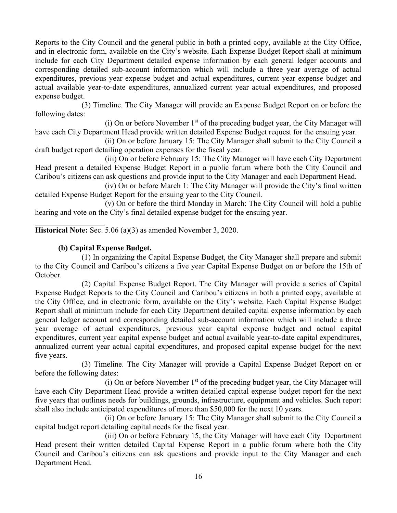Reports to the City Council and the general public in both a printed copy, available at the City Office, and in electronic form, available on the City's website. Each Expense Budget Report shall at minimum include for each City Department detailed expense information by each general ledger accounts and corresponding detailed sub-account information which will include a three year average of actual expenditures, previous year expense budget and actual expenditures, current year expense budget and actual available year-to-date expenditures, annualized current year actual expenditures, and proposed expense budget.

 (3) Timeline. The City Manager will provide an Expense Budget Report on or before the following dates:

(i) On or before November  $1<sup>st</sup>$  of the preceding budget year, the City Manager will have each City Department Head provide written detailed Expense Budget request for the ensuing year.

 (ii) On or before January 15: The City Manager shall submit to the City Council a draft budget report detailing operation expenses for the fiscal year.

 (iii) On or before February 15: The City Manager will have each City Department Head present a detailed Expense Budget Report in a public forum where both the City Council and Caribou's citizens can ask questions and provide input to the City Manager and each Department Head.

 (iv) On or before March 1: The City Manager will provide the City's final written detailed Expense Budget Report for the ensuing year to the City Council.

 (v) On or before the third Monday in March: The City Council will hold a public hearing and vote on the City's final detailed expense budget for the ensuing year.

l Historical Note: Sec. 5.06 (a)(3) as amended November 3, 2020.

# (b) Capital Expense Budget.

 (1) In organizing the Capital Expense Budget, the City Manager shall prepare and submit to the City Council and Caribou's citizens a five year Capital Expense Budget on or before the 15th of October.

 (2) Capital Expense Budget Report. The City Manager will provide a series of Capital Expense Budget Reports to the City Council and Caribou's citizens in both a printed copy, available at the City Office, and in electronic form, available on the City's website. Each Capital Expense Budget Report shall at minimum include for each City Department detailed capital expense information by each general ledger account and corresponding detailed sub-account information which will include a three year average of actual expenditures, previous year capital expense budget and actual capital expenditures, current year capital expense budget and actual available year-to-date capital expenditures, annualized current year actual capital expenditures, and proposed capital expense budget for the next five years.

 (3) Timeline. The City Manager will provide a Capital Expense Budget Report on or before the following dates:

(i) On or before November  $1<sup>st</sup>$  of the preceding budget year, the City Manager will have each City Department Head provide a written detailed capital expense budget report for the next five years that outlines needs for buildings, grounds, infrastructure, equipment and vehicles. Such report shall also include anticipated expenditures of more than \$50,000 for the next 10 years.

 (ii) On or before January 15: The City Manager shall submit to the City Council a capital budget report detailing capital needs for the fiscal year.

 (iii) On or before February 15, the City Manager will have each City Department Head present their written detailed Capital Expense Report in a public forum where both the City Council and Caribou's citizens can ask questions and provide input to the City Manager and each Department Head.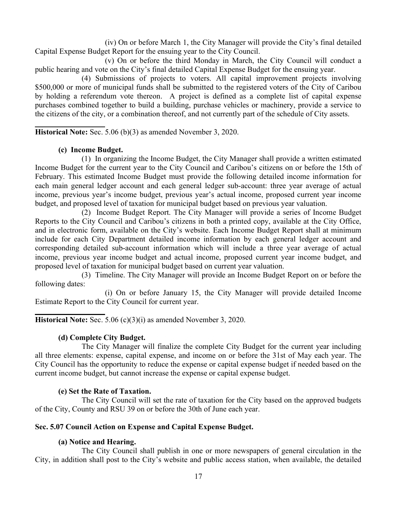(iv) On or before March 1, the City Manager will provide the City's final detailed Capital Expense Budget Report for the ensuing year to the City Council.

 (v) On or before the third Monday in March, the City Council will conduct a public hearing and vote on the City's final detailed Capital Expense Budget for the ensuing year.

 (4) Submissions of projects to voters. All capital improvement projects involving \$500,000 or more of municipal funds shall be submitted to the registered voters of the City of Caribou by holding a referendum vote thereon. A project is defined as a complete list of capital expense purchases combined together to build a building, purchase vehicles or machinery, provide a service to the citizens of the city, or a combination thereof, and not currently part of the schedule of City assets.

Historical Note: Sec. 5.06 (b)(3) as amended November 3, 2020.

# (c) Income Budget.

l

l

 (1) In organizing the Income Budget, the City Manager shall provide a written estimated Income Budget for the current year to the City Council and Caribou's citizens on or before the 15th of February. This estimated Income Budget must provide the following detailed income information for each main general ledger account and each general ledger sub-account: three year average of actual income, previous year's income budget, previous year's actual income, proposed current year income budget, and proposed level of taxation for municipal budget based on previous year valuation.

 (2) Income Budget Report. The City Manager will provide a series of Income Budget Reports to the City Council and Caribou's citizens in both a printed copy, available at the City Office, and in electronic form, available on the City's website. Each Income Budget Report shall at minimum include for each City Department detailed income information by each general ledger account and corresponding detailed sub-account information which will include a three year average of actual income, previous year income budget and actual income, proposed current year income budget, and proposed level of taxation for municipal budget based on current year valuation.

 (3) Timeline. The City Manager will provide an Income Budget Report on or before the following dates:

 (i) On or before January 15, the City Manager will provide detailed Income Estimate Report to the City Council for current year.

Historical Note: Sec. 5.06 (c)(3)(i) as amended November 3, 2020.

# (d) Complete City Budget.

 The City Manager will finalize the complete City Budget for the current year including all three elements: expense, capital expense, and income on or before the 31st of May each year. The City Council has the opportunity to reduce the expense or capital expense budget if needed based on the current income budget, but cannot increase the expense or capital expense budget.

## (e) Set the Rate of Taxation.

 The City Council will set the rate of taxation for the City based on the approved budgets of the City, County and RSU 39 on or before the 30th of June each year.

## Sec. 5.07 Council Action on Expense and Capital Expense Budget.

# (a) Notice and Hearing.

 The City Council shall publish in one or more newspapers of general circulation in the City, in addition shall post to the City's website and public access station, when available, the detailed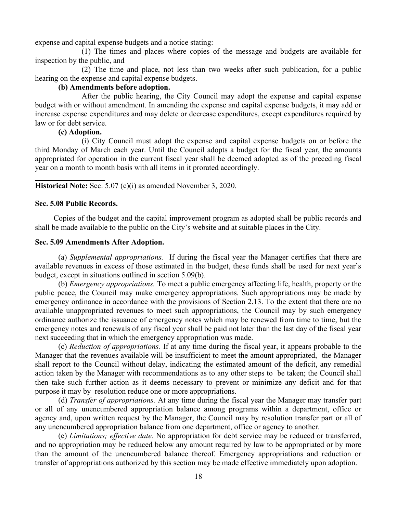expense and capital expense budgets and a notice stating:

 (1) The times and places where copies of the message and budgets are available for inspection by the public, and

 (2) The time and place, not less than two weeks after such publication, for a public hearing on the expense and capital expense budgets.

### (b) Amendments before adoption.

 After the public hearing, the City Council may adopt the expense and capital expense budget with or without amendment. In amending the expense and capital expense budgets, it may add or increase expense expenditures and may delete or decrease expenditures, except expenditures required by law or for debt service.

### (c) Adoption.

 (i) City Council must adopt the expense and capital expense budgets on or before the third Monday of March each year. Until the Council adopts a budget for the fiscal year, the amounts appropriated for operation in the current fiscal year shall be deemed adopted as of the preceding fiscal year on a month to month basis with all items in it prorated accordingly.

Historical Note: Sec. 5.07 (c)(i) as amended November 3, 2020.

### Sec. 5.08 Public Records.

l

Copies of the budget and the capital improvement program as adopted shall be public records and shall be made available to the public on the City's website and at suitable places in the City.

#### Sec. 5.09 Amendments After Adoption.

(a) Supplemental appropriations. If during the fiscal year the Manager certifies that there are available revenues in excess of those estimated in the budget, these funds shall be used for next year's budget, except in situations outlined in section 5.09(b).

(b) Emergency appropriations. To meet a public emergency affecting life, health, property or the public peace, the Council may make emergency appropriations. Such appropriations may be made by emergency ordinance in accordance with the provisions of Section 2.13. To the extent that there are no available unappropriated revenues to meet such appropriations, the Council may by such emergency ordinance authorize the issuance of emergency notes which may be renewed from time to time, but the emergency notes and renewals of any fiscal year shall be paid not later than the last day of the fiscal year next succeeding that in which the emergency appropriation was made.

(c) Reduction of appropriations. If at any time during the fiscal year, it appears probable to the Manager that the revenues available will be insufficient to meet the amount appropriated, the Manager shall report to the Council without delay, indicating the estimated amount of the deficit, any remedial action taken by the Manager with recommendations as to any other steps to be taken; the Council shall then take such further action as it deems necessary to prevent or minimize any deficit and for that purpose it may by resolution reduce one or more appropriations.

(d) Transfer of appropriations. At any time during the fiscal year the Manager may transfer part or all of any unencumbered appropriation balance among programs within a department, office or agency and, upon written request by the Manager, the Council may by resolution transfer part or all of any unencumbered appropriation balance from one department, office or agency to another.

(e) Limitations; effective date. No appropriation for debt service may be reduced or transferred, and no appropriation may be reduced below any amount required by law to be appropriated or by more than the amount of the unencumbered balance thereof. Emergency appropriations and reduction or transfer of appropriations authorized by this section may be made effective immediately upon adoption.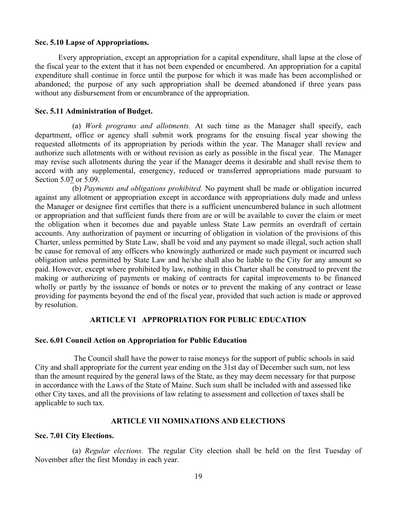### Sec. 5.10 Lapse of Appropriations.

Every appropriation, except an appropriation for a capital expenditure, shall lapse at the close of the fiscal year to the extent that it has not been expended or encumbered. An appropriation for a capital expenditure shall continue in force until the purpose for which it was made has been accomplished or abandoned; the purpose of any such appropriation shall be deemed abandoned if three years pass without any disbursement from or encumbrance of the appropriation.

#### Sec. 5.11 Administration of Budget.

(a) Work programs and allotments. At such time as the Manager shall specify, each department, office or agency shall submit work programs for the ensuing fiscal year showing the requested allotments of its appropriation by periods within the year. The Manager shall review and authorize such allotments with or without revision as early as possible in the fiscal year. The Manager may revise such allotments during the year if the Manager deems it desirable and shall revise them to accord with any supplemental, emergency, reduced or transferred appropriations made pursuant to Section 5.07 or 5.09.

(b) Payments and obligations prohibited. No payment shall be made or obligation incurred against any allotment or appropriation except in accordance with appropriations duly made and unless the Manager or designee first certifies that there is a sufficient unencumbered balance in such allotment or appropriation and that sufficient funds there from are or will be available to cover the claim or meet the obligation when it becomes due and payable unless State Law permits an overdraft of certain accounts. Any authorization of payment or incurring of obligation in violation of the provisions of this Charter, unless permitted by State Law, shall be void and any payment so made illegal, such action shall be cause for removal of any officers who knowingly authorized or made such payment or incurred such obligation unless permitted by State Law and he/she shall also be liable to the City for any amount so paid. However, except where prohibited by law, nothing in this Charter shall be construed to prevent the making or authorizing of payments or making of contracts for capital improvements to be financed wholly or partly by the issuance of bonds or notes or to prevent the making of any contract or lease providing for payments beyond the end of the fiscal year, provided that such action is made or approved by resolution.

### ARTICLE VI APPROPRIATION FOR PUBLIC EDUCATION

#### Sec. 6.01 Council Action on Appropriation for Public Education

 The Council shall have the power to raise moneys for the support of public schools in said City and shall appropriate for the current year ending on the 31st day of December such sum, not less than the amount required by the general laws of the State, as they may deem necessary for that purpose in accordance with the Laws of the State of Maine. Such sum shall be included with and assessed like other City taxes, and all the provisions of law relating to assessment and collection of taxes shall be applicable to such tax.

### ARTICLE VII NOMINATIONS AND ELECTIONS

#### Sec. 7.01 City Elections.

(a) Regular elections. The regular City election shall be held on the first Tuesday of November after the first Monday in each year.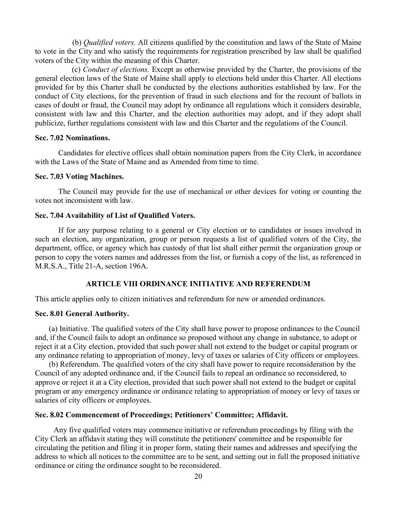(b) *Qualified voters*. All citizens qualified by the constitution and laws of the State of Maine to vote in the City and who satisfy the requirements for registration prescribed by law shall be qualified voters of the City within the meaning of this Charter.

 (c) Conduct of elections. Except as otherwise provided by the Charter, the provisions of the general election laws of the State of Maine shall apply to elections held under this Charter. All elections provided for by this Charter shall be conducted by the elections authorities established by law. For the conduct of City elections, for the prevention of fraud in such elections and for the recount of ballots in cases of doubt or fraud, the Council may adopt by ordinance all regulations which it considers desirable, consistent with law and this Charter, and the election authorities may adopt, and if they adopt shall publicize, further regulations consistent with law and this Charter and the regulations of the Council.

### Sec. 7.02 Nominations.

Candidates for elective offices shall obtain nomination papers from the City Clerk, in accordance with the Laws of the State of Maine and as Amended from time to time.

#### Sec. 7.03 Voting Machines.

The Council may provide for the use of mechanical or other devices for voting or counting the votes not inconsistent with law.

### Sec. 7.04 Availability of List of Qualified Voters.

If for any purpose relating to a general or City election or to candidates or issues involved in such an election, any organization, group or person requests a list of qualified voters of the City, the department, office, or agency which has custody of that list shall either permit the organization group or person to copy the voters names and addresses from the list, or furnish a copy of the list, as referenced in M.R.S.A., Title 21-A, section 196A.

#### ARTICLE VIII ORDINANCE INITIATIVE AND REFERENDUM

This article applies only to citizen initiatives and referendum for new or amended ordinances.

#### Sec. 8.01 General Authority.

(a) Initiative. The qualified voters of the City shall have power to propose ordinances to the Council and, if the Council fails to adopt an ordinance so proposed without any change in substance, to adopt or reject it at a City election, provided that such power shall not extend to the budget or capital program or any ordinance relating to appropriation of money, levy of taxes or salaries of City officers or employees.

(b) Referendum. The qualified voters of the city shall have power to require reconsideration by the Council of any adopted ordinance and, if the Council fails to repeal an ordinance so reconsidered, to approve or reject it at a City election, provided that such power shall not extend to the budget or capital program or any emergency ordinance or ordinance relating to appropriation of money or levy of taxes or salaries of city officers or employees.

### Sec. 8.02 Commencement of Proceedings; Petitioners' Committee; Affidavit.

Any five qualified voters may commence initiative or referendum proceedings by filing with the City Clerk an affidavit stating they will constitute the petitioners' committee and be responsible for circulating the petition and filing it in proper form, stating their names and addresses and specifying the address to which all notices to the committee are to be sent, and setting out in full the proposed initiative ordinance or citing the ordinance sought to be reconsidered.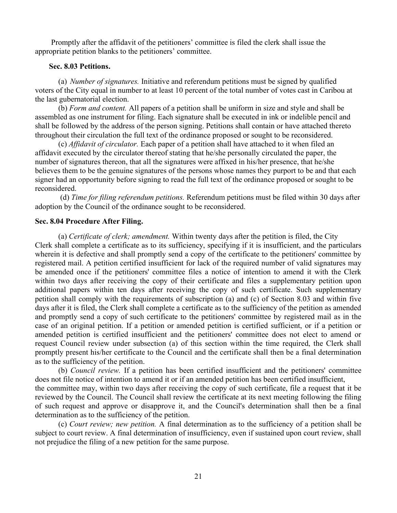Promptly after the affidavit of the petitioners' committee is filed the clerk shall issue the appropriate petition blanks to the petitioners' committee.

### Sec. 8.03 Petitions.

(a) Number of signatures. Initiative and referendum petitions must be signed by qualified voters of the City equal in number to at least 10 percent of the total number of votes cast in Caribou at the last gubernatorial election.

 (b) Form and content. All papers of a petition shall be uniform in size and style and shall be assembled as one instrument for filing. Each signature shall be executed in ink or indelible pencil and shall be followed by the address of the person signing. Petitions shall contain or have attached thereto throughout their circulation the full text of the ordinance proposed or sought to be reconsidered.

(c) Affidavit of circulator. Each paper of a petition shall have attached to it when filed an affidavit executed by the circulator thereof stating that he/she personally circulated the paper, the number of signatures thereon, that all the signatures were affixed in his/her presence, that he/she believes them to be the genuine signatures of the persons whose names they purport to be and that each signer had an opportunity before signing to read the full text of the ordinance proposed or sought to be reconsidered.

 (d) Time for filing referendum petitions. Referendum petitions must be filed within 30 days after adoption by the Council of the ordinance sought to be reconsidered.

### Sec. 8.04 Procedure After Filing.

(a) Certificate of clerk; amendment. Within twenty days after the petition is filed, the City Clerk shall complete a certificate as to its sufficiency, specifying if it is insufficient, and the particulars wherein it is defective and shall promptly send a copy of the certificate to the petitioners' committee by registered mail. A petition certified insufficient for lack of the required number of valid signatures may be amended once if the petitioners' committee files a notice of intention to amend it with the Clerk within two days after receiving the copy of their certificate and files a supplementary petition upon additional papers within ten days after receiving the copy of such certificate. Such supplementary petition shall comply with the requirements of subscription (a) and (c) of Section 8.03 and within five days after it is filed, the Clerk shall complete a certificate as to the sufficiency of the petition as amended and promptly send a copy of such certificate to the petitioners' committee by registered mail as in the case of an original petition. If a petition or amended petition is certified sufficient, or if a petition or amended petition is certified insufficient and the petitioners' committee does not elect to amend or request Council review under subsection (a) of this section within the time required, the Clerk shall promptly present his/her certificate to the Council and the certificate shall then be a final determination as to the sufficiency of the petition.

(b) Council review. If a petition has been certified insufficient and the petitioners' committee does not file notice of intention to amend it or if an amended petition has been certified insufficient, the committee may, within two days after receiving the copy of such certificate, file a request that it be reviewed by the Council. The Council shall review the certificate at its next meeting following the filing of such request and approve or disapprove it, and the Council's determination shall then be a final determination as to the sufficiency of the petition.

(c) Court review; new petition. A final determination as to the sufficiency of a petition shall be subject to court review. A final determination of insufficiency, even if sustained upon court review, shall not prejudice the filing of a new petition for the same purpose.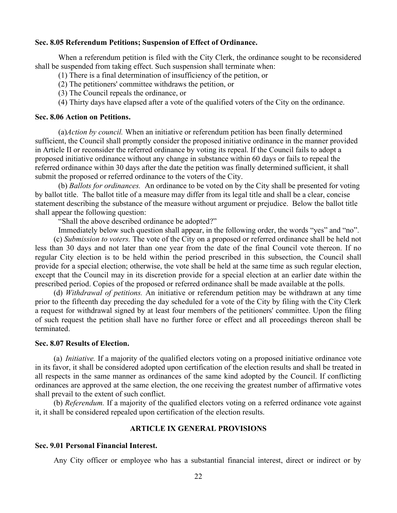### Sec. 8.05 Referendum Petitions; Suspension of Effect of Ordinance.

When a referendum petition is filed with the City Clerk, the ordinance sought to be reconsidered shall be suspended from taking effect. Such suspension shall terminate when:

- (1) There is a final determination of insufficiency of the petition, or
- (2) The petitioners' committee withdraws the petition, or
- (3) The Council repeals the ordinance, or
- (4) Thirty days have elapsed after a vote of the qualified voters of the City on the ordinance.

### Sec. 8.06 Action on Petitions.

(a)Action by council. When an initiative or referendum petition has been finally determined sufficient, the Council shall promptly consider the proposed initiative ordinance in the manner provided in Article II or reconsider the referred ordinance by voting its repeal. If the Council fails to adopt a proposed initiative ordinance without any change in substance within 60 days or fails to repeal the referred ordinance within 30 days after the date the petition was finally determined sufficient, it shall submit the proposed or referred ordinance to the voters of the City.

(b) Ballots for ordinances. An ordinance to be voted on by the City shall be presented for voting by ballot title. The ballot title of a measure may differ from its legal title and shall be a clear, concise statement describing the substance of the measure without argument or prejudice. Below the ballot title shall appear the following question:

"Shall the above described ordinance be adopted?"

Immediately below such question shall appear, in the following order, the words "yes" and "no".

(c) Submission to voters. The vote of the City on a proposed or referred ordinance shall be held not less than 30 days and not later than one year from the date of the final Council vote thereon. If no regular City election is to be held within the period prescribed in this subsection, the Council shall provide for a special election; otherwise, the vote shall be held at the same time as such regular election, except that the Council may in its discretion provide for a special election at an earlier date within the prescribed period. Copies of the proposed or referred ordinance shall be made available at the polls.

(d) Withdrawal of petitions. An initiative or referendum petition may be withdrawn at any time prior to the fifteenth day preceding the day scheduled for a vote of the City by filing with the City Clerk a request for withdrawal signed by at least four members of the petitioners' committee. Upon the filing of such request the petition shall have no further force or effect and all proceedings thereon shall be terminated.

### Sec. 8.07 Results of Election.

(a) Initiative. If a majority of the qualified electors voting on a proposed initiative ordinance vote in its favor, it shall be considered adopted upon certification of the election results and shall be treated in all respects in the same manner as ordinances of the same kind adopted by the Council. If conflicting ordinances are approved at the same election, the one receiving the greatest number of affirmative votes shall prevail to the extent of such conflict.

(b) Referendum. If a majority of the qualified electors voting on a referred ordinance vote against it, it shall be considered repealed upon certification of the election results.

### ARTICLE IX GENERAL PROVISIONS

### Sec. 9.01 Personal Financial Interest.

Any City officer or employee who has a substantial financial interest, direct or indirect or by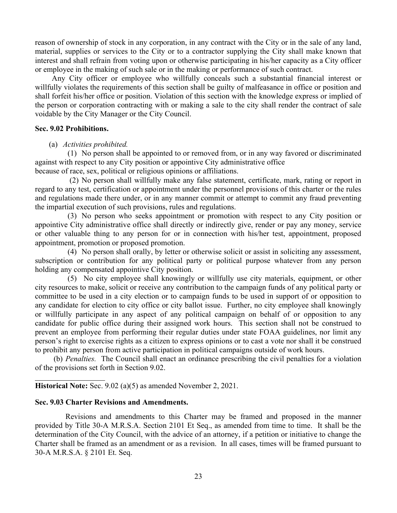reason of ownership of stock in any corporation, in any contract with the City or in the sale of any land, material, supplies or services to the City or to a contractor supplying the City shall make known that interest and shall refrain from voting upon or otherwise participating in his/her capacity as a City officer or employee in the making of such sale or in the making or performance of such contract.

 Any City officer or employee who willfully conceals such a substantial financial interest or willfully violates the requirements of this section shall be guilty of malfeasance in office or position and shall forfeit his/her office or position. Violation of this section with the knowledge express or implied of the person or corporation contracting with or making a sale to the city shall render the contract of sale voidable by the City Manager or the City Council.

### Sec. 9.02 Prohibitions.

#### (a) Activities prohibited.

(1) No person shall be appointed to or removed from, or in any way favored or discriminated against with respect to any City position or appointive City administrative office

because of race, sex, political or religious opinions or affiliations.

 (2) No person shall willfully make any false statement, certificate, mark, rating or report in regard to any test, certification or appointment under the personnel provisions of this charter or the rules and regulations made there under, or in any manner commit or attempt to commit any fraud preventing the impartial execution of such provisions, rules and regulations.

(3) No person who seeks appointment or promotion with respect to any City position or appointive City administrative office shall directly or indirectly give, render or pay any money, service or other valuable thing to any person for or in connection with his/her test, appointment, proposed appointment, promotion or proposed promotion.

(4) No person shall orally, by letter or otherwise solicit or assist in soliciting any assessment, subscription or contribution for any political party or political purpose whatever from any person holding any compensated appointive City position.

(5) No city employee shall knowingly or willfully use city materials, equipment, or other city resources to make, solicit or receive any contribution to the campaign funds of any political party or committee to be used in a city election or to campaign funds to be used in support of or opposition to any candidate for election to city office or city ballot issue. Further, no city employee shall knowingly or willfully participate in any aspect of any political campaign on behalf of or opposition to any candidate for public office during their assigned work hours. This section shall not be construed to prevent an employee from performing their regular duties under state FOAA guidelines, nor limit any person's right to exercise rights as a citizen to express opinions or to cast a vote nor shall it be construed to prohibit any person from active participation in political campaigns outside of work hours.

(b) Penalties. The Council shall enact an ordinance prescribing the civil penalties for a violation of the provisions set forth in Section 9.02.

Historical Note: Sec. 9.02 (a)(5) as amended November 2, 2021.

#### Sec. 9.03 Charter Revisions and Amendments.

l

 Revisions and amendments to this Charter may be framed and proposed in the manner provided by Title 30-A M.R.S.A. Section 2101 Et Seq., as amended from time to time. It shall be the determination of the City Council, with the advice of an attorney, if a petition or initiative to change the Charter shall be framed as an amendment or as a revision. In all cases, times will be framed pursuant to 30-A M.R.S.A. § 2101 Et. Seq.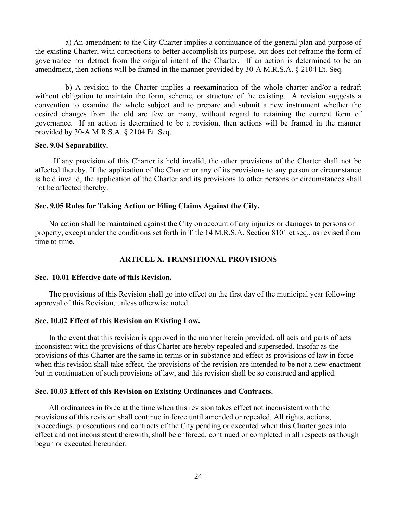a) An amendment to the City Charter implies a continuance of the general plan and purpose of the existing Charter, with corrections to better accomplish its purpose, but does not reframe the form of governance nor detract from the original intent of the Charter. If an action is determined to be an amendment, then actions will be framed in the manner provided by 30-A M.R.S.A. § 2104 Et. Seq.

 b) A revision to the Charter implies a reexamination of the whole charter and/or a redraft without obligation to maintain the form, scheme, or structure of the existing. A revision suggests a convention to examine the whole subject and to prepare and submit a new instrument whether the desired changes from the old are few or many, without regard to retaining the current form of governance. If an action is determined to be a revision, then actions will be framed in the manner provided by 30-A M.R.S.A. § 2104 Et. Seq.

#### Sec. 9.04 Separability.

If any provision of this Charter is held invalid, the other provisions of the Charter shall not be affected thereby. If the application of the Charter or any of its provisions to any person or circumstance is held invalid, the application of the Charter and its provisions to other persons or circumstances shall not be affected thereby.

#### Sec. 9.05 Rules for Taking Action or Filing Claims Against the City.

No action shall be maintained against the City on account of any injuries or damages to persons or property, except under the conditions set forth in Title 14 M.R.S.A. Section 8101 et seq., as revised from time to time.

### ARTICLE X. TRANSITIONAL PROVISIONS

#### Sec. 10.01 Effective date of this Revision.

The provisions of this Revision shall go into effect on the first day of the municipal year following approval of this Revision, unless otherwise noted.

### Sec. 10.02 Effect of this Revision on Existing Law.

In the event that this revision is approved in the manner herein provided, all acts and parts of acts inconsistent with the provisions of this Charter are hereby repealed and superseded. Insofar as the provisions of this Charter are the same in terms or in substance and effect as provisions of law in force when this revision shall take effect, the provisions of the revision are intended to be not a new enactment but in continuation of such provisions of law, and this revision shall be so construed and applied.

#### Sec. 10.03 Effect of this Revision on Existing Ordinances and Contracts.

All ordinances in force at the time when this revision takes effect not inconsistent with the provisions of this revision shall continue in force until amended or repealed. All rights, actions, proceedings, prosecutions and contracts of the City pending or executed when this Charter goes into effect and not inconsistent therewith, shall be enforced, continued or completed in all respects as though begun or executed hereunder.